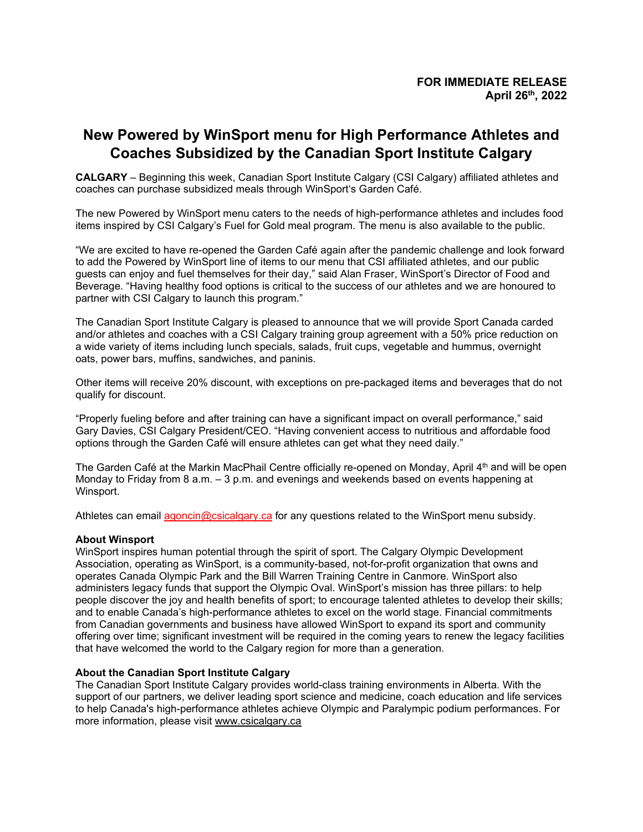## **New Powered by WinSport menu for High Performance Athletes and Coaches Subsidized by the Canadian Sport Institute Calgary**

**CALGARY** – Beginning this week, Canadian Sport Institute Calgary (CSI Calgary) affiliated athletes and coaches can purchase subsidized meals through WinSport's Garden Café.

The new Powered by WinSport menu caters to the needs of high-performance athletes and includes food items inspired by CSI Calgary's Fuel for Gold meal program. The menu is also available to the public.

"We are excited to have re-opened the Garden Café again after the pandemic challenge and look forward to add the Powered by WinSport line of items to our menu that CSI affiliated athletes, and our public guests can enjoy and fuel themselves for their day," said Alan Fraser, WinSport's Director of Food and Beverage. "Having healthy food options is critical to the success of our athletes and we are honoured to partner with CSI Calgary to launch this program."

The Canadian Sport Institute Calgary is pleased to announce that we will provide Sport Canada carded and/or athletes and coaches with a CSI Calgary training group agreement with a 50% price reduction on a wide variety of items including lunch specials, salads, fruit cups, vegetable and hummus, overnight oats, power bars, muffins, sandwiches, and paninis.

Other items will receive 20% discount, with exceptions on pre-packaged items and beverages that do not qualify for discount.

"Properly fueling before and after training can have a significant impact on overall performance," said Gary Davies, CSI Calgary President/CEO. "Having convenient access to nutritious and affordable food options through the Garden Café will ensure athletes can get what they need daily."

The Garden Café at the Markin MacPhail Centre officially re-opened on Monday, April 4<sup>th</sup> and will be open Monday to Friday from 8 a.m.  $-3$  p.m. and evenings and weekends based on events happening at Winsport.

Athletes can email [agoncin@csicalgary.ca](mailto:agoncin@csicalgary.ca) for any questions related to the WinSport menu subsidy.

## **About Winsport**

WinSport inspires human potential through the spirit of sport. The Calgary Olympic Development Association, operating as WinSport, is a community-based, not-for-profit organization that owns and operates Canada Olympic Park and the Bill Warren Training Centre in Canmore. WinSport also administers legacy funds that support the Olympic Oval. WinSport's mission has three pillars: to help people discover the joy and health benefits of sport; to encourage talented athletes to develop their skills; and to enable Canada's high-performance athletes to excel on the world stage. Financial commitments from Canadian governments and business have allowed WinSport to expand its sport and community offering over time; significant investment will be required in the coming years to renew the legacy facilities that have welcomed the world to the Calgary region for more than a generation.

## **About the Canadian Sport Institute Calgary**

The Canadian Sport Institute Calgary provides world-class training environments in Alberta. With the support of our partners, we deliver leading sport science and medicine, coach education and life services to help Canada's high-performance athletes achieve Olympic and Paralympic podium performances. For more information, please visit [www.csicalgary.ca](http://www.csicalgary.ca/)